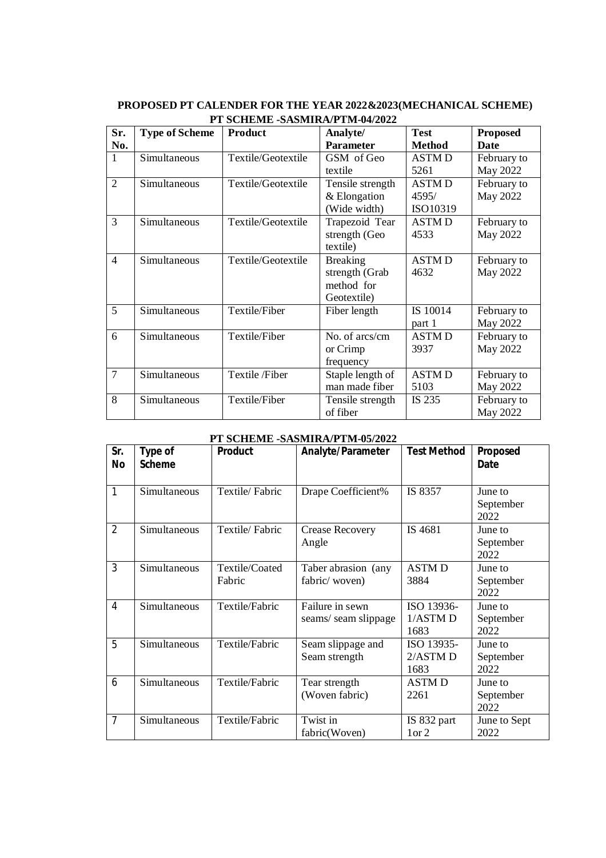### **PROPOSED PT CALENDER FOR THE YEAR 2022&2023(MECHANICAL SCHEME) PT SCHEME -SASMIRA/PTM-04/2022**

| Sr.            | <b>Type of Scheme</b> | <b>Product</b>     | Analyte/         | <b>Test</b>   | <b>Proposed</b> |
|----------------|-----------------------|--------------------|------------------|---------------|-----------------|
| No.            |                       |                    | <b>Parameter</b> | <b>Method</b> | <b>Date</b>     |
| $\mathbf{1}$   | Simultaneous          | Textile/Geotextile | GSM of Geo       | <b>ASTMD</b>  | February to     |
|                |                       |                    | textile          | 5261          | May 2022        |
| $\overline{2}$ | Simultaneous          | Textile/Geotextile | Tensile strength | <b>ASTMD</b>  | February to     |
|                |                       |                    | & Elongation     | 4595/         | May 2022        |
|                |                       |                    | (Wide width)     | ISO10319      |                 |
| 3              | Simultaneous          | Textile/Geotextile | Trapezoid Tear   | <b>ASTMD</b>  | February to     |
|                |                       |                    | strength (Geo    | 4533          | May 2022        |
|                |                       |                    | textile)         |               |                 |
| $\overline{4}$ | Simultaneous          | Textile/Geotextile | <b>Breaking</b>  | <b>ASTMD</b>  | February to     |
|                |                       |                    | strength (Grab   | 4632          | May 2022        |
|                |                       |                    | method for       |               |                 |
|                |                       |                    | Geotextile)      |               |                 |
| 5              | Simultaneous          | Textile/Fiber      | Fiber length     | IS 10014      | February to     |
|                |                       |                    |                  | part 1        | May 2022        |
| 6              | Simultaneous          | Textile/Fiber      | No. of arcs/cm   | <b>ASTMD</b>  | February to     |
|                |                       |                    | or Crimp         | 3937          | May 2022        |
|                |                       |                    | frequency        |               |                 |
| 7              | Simultaneous          | Textile /Fiber     | Staple length of | <b>ASTMD</b>  | February to     |
|                |                       |                    | man made fiber   | 5103          | May 2022        |
| 8              | Simultaneous          | Textile/Fiber      | Tensile strength | IS 235        | February to     |
|                |                       |                    | of fiber         |               | May 2022        |

#### **PT SCHEME -SASMIRA/PTM-05/2022**

| Sr.<br>No      | <b>Type of</b><br><b>Scheme</b> | <b>Product</b>           | Analyte/Parameter                      | <b>Test Method</b>               | <b>Proposed</b><br><b>Date</b> |
|----------------|---------------------------------|--------------------------|----------------------------------------|----------------------------------|--------------------------------|
| 1              | Simultaneous                    | Textile/Fabric           | Drape Coefficient%                     | IS 8357                          | June to<br>September<br>2022   |
| 2              | Simultaneous                    | Textile/Fabric           | <b>Crease Recovery</b><br>Angle        | IS 4681                          | June to<br>September<br>2022   |
| 3              | Simultaneous                    | Textile/Coated<br>Fabric | Taber abrasion (any<br>fabric/woven)   | <b>ASTMD</b><br>3884             | June to<br>September<br>2022   |
| 4              | Simultaneous                    | Textile/Fabric           | Failure in sewn<br>seams/seam slippage | ISO 13936-<br>$1/ASTM$ D<br>1683 | June to<br>September<br>2022   |
| 5              | Simultaneous                    | Textile/Fabric           | Seam slippage and<br>Seam strength     | ISO 13935-<br>2/ASTM D<br>1683   | June to<br>September<br>2022   |
| 6              | Simultaneous                    | Textile/Fabric           | Tear strength<br>(Woven fabric)        | <b>ASTMD</b><br>2261             | June to<br>September<br>2022   |
| $\overline{7}$ | Simultaneous                    | Textile/Fabric           | Twist in<br>fabric(Woven)              | IS 832 part<br>1 or 2            | June to Sept<br>2022           |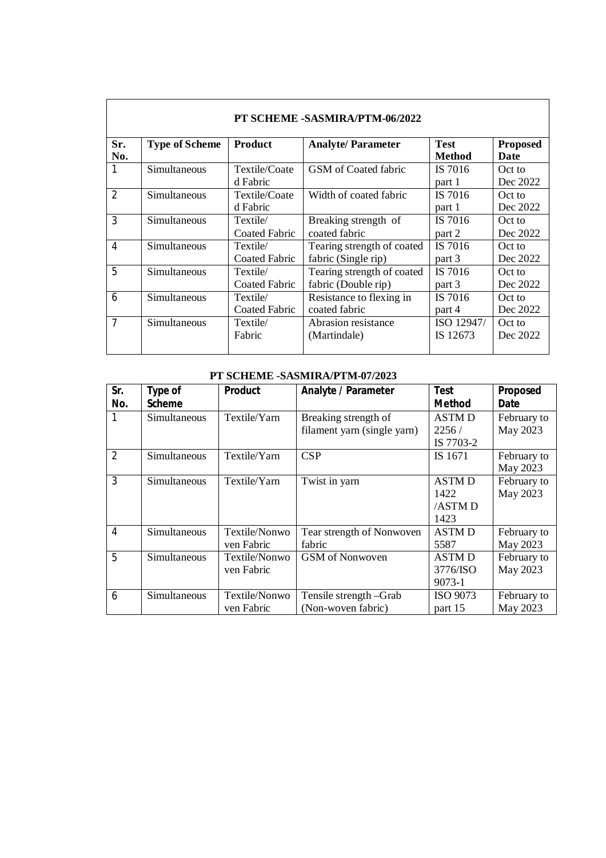|                | PT SCHEME -SASMIRA/PTM-06/2022 |                                  |                                                   |                              |                                |  |  |
|----------------|--------------------------------|----------------------------------|---------------------------------------------------|------------------------------|--------------------------------|--|--|
| Sr.<br>No.     | <b>Type of Scheme</b>          | <b>Product</b>                   | <b>Analyte/Parameter</b>                          | <b>Test</b><br><b>Method</b> | <b>Proposed</b><br><b>Date</b> |  |  |
|                | Simultaneous                   | Textile/Coate<br>d Fabric        | GSM of Coated fabric                              | IS 7016<br>part 1            | Oct to<br>Dec 2022             |  |  |
| $\overline{2}$ | Simultaneous                   | Textile/Coate<br>d Fabric        | Width of coated fabric                            | IS 7016<br>part 1            | Oct to<br>Dec 2022             |  |  |
| 3              | Simultaneous                   | Textile/<br>Coated Fabric        | Breaking strength of<br>coated fabric             | IS 7016<br>part 2            | Oct to<br>Dec 2022             |  |  |
| 4              | Simultaneous                   | Textile/<br><b>Coated Fabric</b> | Tearing strength of coated<br>fabric (Single rip) | IS 7016<br>part 3            | Oct to<br>Dec 2022             |  |  |
| 5              | Simultaneous                   | Textile/<br>Coated Fabric        | Tearing strength of coated<br>fabric (Double rip) | IS 7016<br>part 3            | Oct to<br>Dec 2022             |  |  |
| 6              | Simultaneous                   | Textile/<br><b>Coated Fabric</b> | Resistance to flexing in<br>coated fabric         | IS 7016<br>part 4            | Oct to<br>Dec 2022             |  |  |
| $\overline{7}$ | Simultaneous                   | Textile/<br>Fabric               | Abrasion resistance<br>(Martindale)               | ISO 12947/<br>IS 12673       | Oct to<br>Dec 2022             |  |  |

#### **PT SCHEME -SASMIRA/PTM-07/2023**

| Sr.            | Type of       | <b>Product</b> | <b>Analyte / Parameter</b>  | <b>Test</b>   | Proposed    |
|----------------|---------------|----------------|-----------------------------|---------------|-------------|
| No.            | <b>Scheme</b> |                |                             | <b>Method</b> | Date        |
|                | Simultaneous  | Textile/Yarn   | Breaking strength of        | <b>ASTMD</b>  | February to |
|                |               |                | filament yarn (single yarn) | 2256/         | May 2023    |
|                |               |                |                             | IS 7703-2     |             |
| $\overline{2}$ | Simultaneous  | Textile/Yarn   | CSP                         | IS 1671       | February to |
|                |               |                |                             |               | May 2023    |
| 3              | Simultaneous  | Textile/Yarn   | Twist in yarn               | <b>ASTMD</b>  | February to |
|                |               |                |                             | 1422          | May 2023    |
|                |               |                |                             | /ASTM D       |             |
|                |               |                |                             | 1423          |             |
| $\overline{4}$ | Simultaneous  | Textile/Nonwo  | Tear strength of Nonwoven   | <b>ASTMD</b>  | February to |
|                |               | ven Fabric     | fabric                      | 5587          | May 2023    |
| 5              | Simultaneous  | Textile/Nonwo  | GSM of Nonwoven             | <b>ASTMD</b>  | February to |
|                |               | ven Fabric     |                             | 3776/ISO      | May 2023    |
|                |               |                |                             | 9073-1        |             |
| 6              | Simultaneous  | Textile/Nonwo  | Tensile strength -Grab      | ISO 9073      | February to |
|                |               | ven Fabric     | (Non-woven fabric)          | part 15       | May 2023    |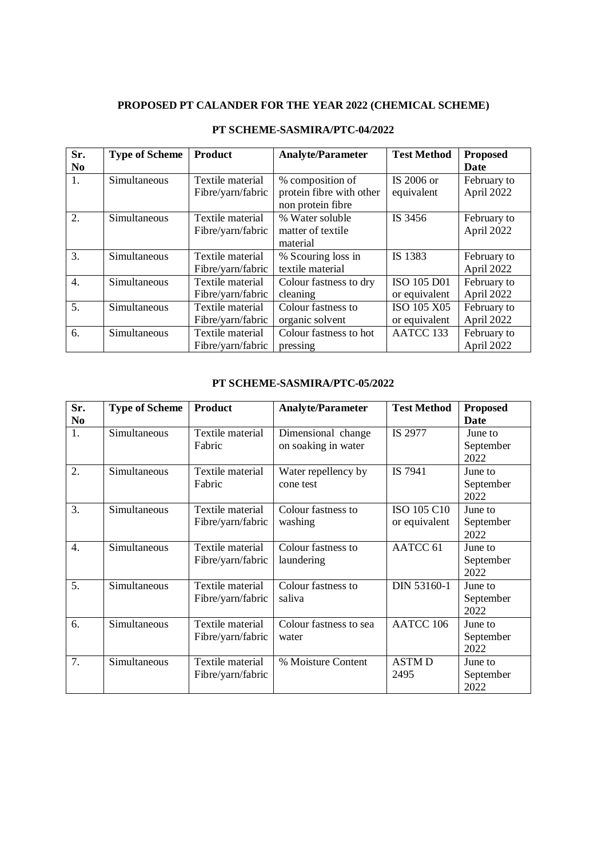## **PROPOSED PT CALANDER FOR THE YEAR 2022 (CHEMICAL SCHEME)**

| Sr.            | <b>Type of Scheme</b> | <b>Product</b>    | <b>Analyte/Parameter</b> | <b>Test Method</b> | <b>Proposed</b> |
|----------------|-----------------------|-------------------|--------------------------|--------------------|-----------------|
| N <sub>0</sub> |                       |                   |                          |                    | <b>Date</b>     |
| 1.             | Simultaneous          | Textile material  | % composition of         | IS 2006 or         | February to     |
|                |                       | Fibre/yarn/fabric | protein fibre with other | equivalent         | April 2022      |
|                |                       |                   | non protein fibre        |                    |                 |
| 2.             | Simultaneous          | Textile material  | % Water soluble          | IS 3456            | February to     |
|                |                       | Fibre/yarn/fabric | matter of textile        |                    | April 2022      |
|                |                       |                   | material                 |                    |                 |
| 3.             | Simultaneous          | Textile material  | % Scouring loss in       | IS 1383            | February to     |
|                |                       | Fibre/yarn/fabric | textile material         |                    | April 2022      |
| 4.             | Simultaneous          | Textile material  | Colour fastness to dry   | ISO 105 D01        | February to     |
|                |                       | Fibre/yarn/fabric | cleaning                 | or equivalent      | April 2022      |
| 5.             | Simultaneous          | Textile material  | Colour fastness to       | ISO 105 X05        | February to     |
|                |                       | Fibre/yarn/fabric | organic solvent          | or equivalent      | April 2022      |
| 6.             | Simultaneous          | Textile material  | Colour fastness to hot   | AATCC 133          | February to     |
|                |                       | Fibre/yarn/fabric | pressing                 |                    | April 2022      |

### **PT SCHEME-SASMIRA/PTC-04/2022**

#### **PT SCHEME-SASMIRA/PTC-05/2022**

| Sr.<br>N <sub>0</sub> | <b>Type of Scheme</b> | <b>Product</b>                        | <b>Analyte/Parameter</b>                  | <b>Test Method</b>           | <b>Proposed</b><br>Date      |
|-----------------------|-----------------------|---------------------------------------|-------------------------------------------|------------------------------|------------------------------|
| 1.                    | Simultaneous          | Textile material<br>Fabric            | Dimensional change<br>on soaking in water | IS 2977                      | June to<br>September<br>2022 |
| 2.                    | Simultaneous          | Textile material<br>Fabric            | Water repellency by<br>cone test          | IS 7941                      | June to<br>September<br>2022 |
| 3.                    | Simultaneous          | Textile material<br>Fibre/yarn/fabric | Colour fastness to<br>washing             | ISO 105 C10<br>or equivalent | June to<br>September<br>2022 |
| $\overline{4}$ .      | Simultaneous          | Textile material<br>Fibre/yarn/fabric | Colour fastness to<br>laundering          | AATCC <sub>61</sub>          | June to<br>September<br>2022 |
| 5.                    | Simultaneous          | Textile material<br>Fibre/yarn/fabric | Colour fastness to<br>saliva              | DIN 53160-1                  | June to<br>September<br>2022 |
| 6.                    | Simultaneous          | Textile material<br>Fibre/yarn/fabric | Colour fastness to sea<br>water           | AATCC 106                    | June to<br>September<br>2022 |
| 7.                    | Simultaneous          | Textile material<br>Fibre/yarn/fabric | % Moisture Content                        | <b>ASTMD</b><br>2495         | June to<br>September<br>2022 |